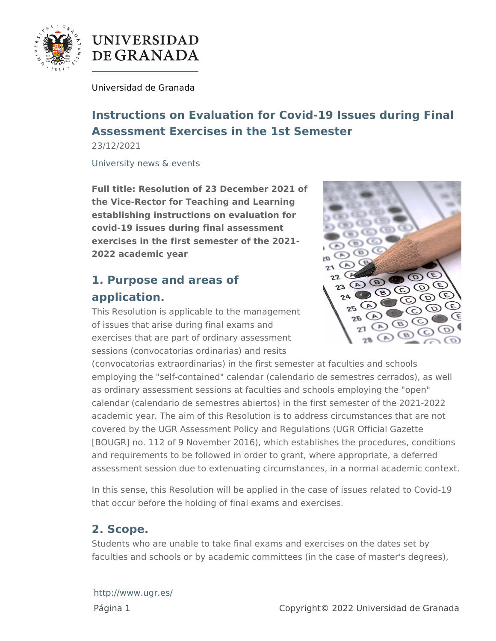

# **UNIVERSIDAD** DE GRANADA

[Universidad de G](http://www.ugr.es/)ranada

Instructions on Evaluation for Covid-19 Issues during Assessment Exercises in the 1st Semester 23/12/2021

[University news &](http://www.ugr.es/en/about/news/university-news-events) events

Full title: Resolution of 23 December 2021 of the Vice-Rector for Teaching and Learning establishing instructions on evaluation for covid-19 issues during final assessment exercises in the first semester of the 2021- 2022 academic year

# 1. Purpose and areas of application.

This Resolution is applicable to the management of issues that arise during final exams and exercises that are part of ordinary assessment sessions (convocatorias ordinarias) and resits (convocatorias extraordinarias) in the first semester at faculties a employing the "self-contained" calendar (calendario de semestres as ordinary assessment sessions at faculties and schools employir calendar (calendario de semestres abiertos) in the first semester academic year. The aim of this Resolution is to address circumsta covered by the UGR Assessment Policy and Regulations (UGR Offi [BOUGR] no. 112 of 9 November 2016), which establishes the proc and requirements to be followed in order to grant, where appropria assessment session due to extenuating circumstances, in a normal

In this sense, this Resolution will be applied in the case of issues that occur before the holding of final exams and exercises.

## 2. Scope.

Students who are unable to take final exams and exercises on the faculties and schools or by academic committees (in the case of m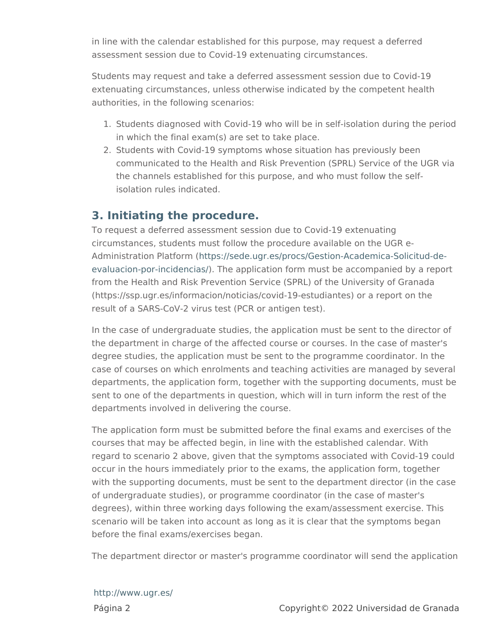in line with the calendar established for this purpose, may request assessment session due to Covid-19 extenuating circumstances.

Students may request and take a deferred assessment session due extenuating circumstances, unless otherwise indicated by the comp authorities, in the following scenarios:

- 1. Students diagnosed with Covid-19 who will be in self-isolation in which the final exam(s) are set to take place.
- 2. Students with Covid-19 symptoms whose situation has previous communicated to the Health and Risk Prevention (SPRL) Servic the channels established for this purpose, and who must follow isolation rules indicated.

#### 3. Initiating the procedure.

To request a deferred assessment session due to Covid-19 extenuation circumstances, students must follow the procedure available on th Administration Plantftcprsm/(sede.ugr.es/procs/Gestion-Academica-Sol [evaluacion-por-inci](https://sede.ugr.es/procs/Gestion-Academica-Solicitud-de-evaluacion-por-incidencias/)dent The application form must be accompanied by from the Health and Risk Prevention Service (SPRL) of the Univers (https://ssp.ugr.es/informacion/noticias/covid-19-estudiantes) or a result of a SARS-CoV-2 virus test (PCR or antigen test).

In the case of undergraduate studies, the application must be sent the department in charge of the affected course or courses. In the degree studies, the application must be sent to the programme coordinator. case of courses on which enrolments and teaching activities are m departments, the application form, together with the supporting do sent to one of the departments in question, which will in turn infor departments involved in delivering the course.

The application form must be submitted before the final exams and courses that may be affected begin, in line with the established ca regard to scenario 2 above, given that the symptoms associated w occur in the hours immediately prior to the exams, the application with the supporting documents, must be sent to the department dir of undergraduate studies), or programme coordinator (in the case degrees), within three working days following the exam/assessmen scenario will be taken into account as long as it is clear that the s before the final exams/exercises began.

The department director or master's programme coordinator will se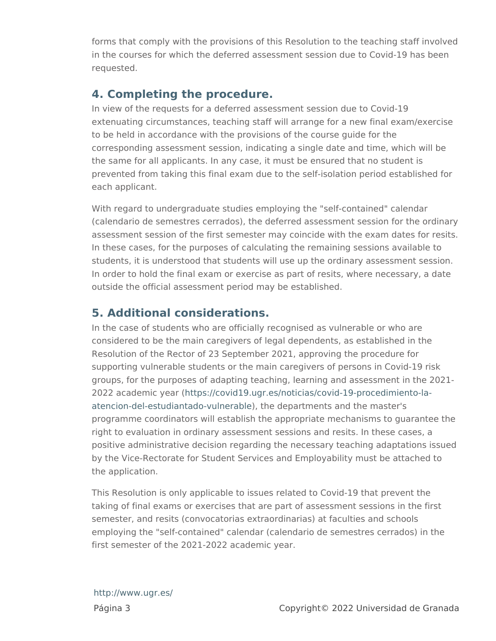forms that comply with the provisions of this Resolution to the tea in the courses for which the deferred assessment session due to C requested.

#### 4. Completing the procedure.

In view of the requests for a deferred assessment session due to ( extenuating circumstances, teaching staff will arrange for a new fi to be held in accordance with the provisions of the course quide for corresponding assessment session, indicating a single date and ti the same for all applicants. In any case, it must be ensured that no prevented from taking this final exam due to the self-isolation per each applicant.

With regard to undergraduate studies employing the "self-containe (calendario de semestres cerrados), the deferred assessment sess assessment session of the first semester may coincide with the ex In these cases, for the purposes of calculating the remaining sess students, it is understood that students will use up the ordinary as In order to hold the final exam or exercise as part of resits, where outside the official assessment period may be established.

### 5. Additional considerations.

In the case of students who are officially recognised as vulnerable considered to be the main caregivers of legal dependents, as esta Resolution of the Rector of 23 September 2021, approving the proc supporting vulnerable students or the main caregivers of persons groups, for the purposes of adapting teaching, learning and asses  $2022$  academic  $h$  etaprs  $\frac{1}{c}$  covid19.ugr.es/noticias/covid-19-procedimie [atencion-del-estudiantado-](https://covid19.ugr.es/noticias/covid-19-procedimiento-la-atencion-del-estudiantado-vulnerable)), uther depleartments and the master's programme coordinators will establish the appropriate mechanisms right to evaluation in ordinary assessment sessions and resits. In positive administrative decision regarding the necessary teaching by the Vice-Rectorate for Student Services and Employability must the application.

This Resolution is only applicable to issues related to Covid-19 th taking of final exams or exercises that are part of assessment ses semester, and resits (convocatorias extraordinarias) at faculties a employing the "self-contained" calendar (calendario de semestres first semester of the 2021-2022 academic year.